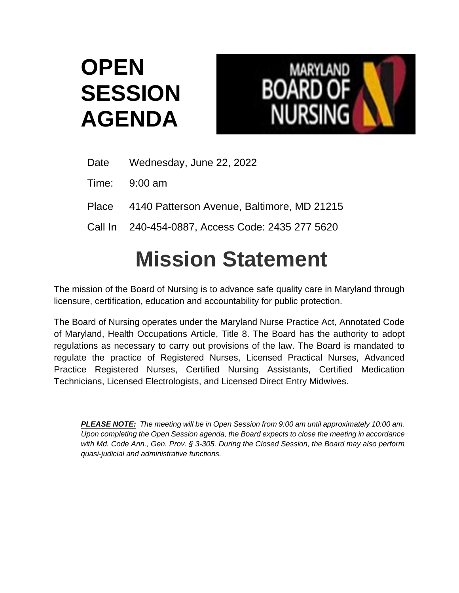# **OPEN SESSION AGENDA**



- Date Wednesday, June 22, 2022
- Time: 9:00 am
- Place 4140 Patterson Avenue, Baltimore, MD 21215
- Call In 240-454-0887, Access Code: 2435 277 5620

# **Mission Statement**

The mission of the Board of Nursing is to advance safe quality care in Maryland through licensure, certification, education and accountability for public protection.

The Board of Nursing operates under the Maryland Nurse Practice Act, Annotated Code of Maryland, Health Occupations Article, Title 8. The Board has the authority to adopt regulations as necessary to carry out provisions of the law. The Board is mandated to regulate the practice of Registered Nurses, Licensed Practical Nurses, Advanced Practice Registered Nurses, Certified Nursing Assistants, Certified Medication Technicians, Licensed Electrologists, and Licensed Direct Entry Midwives.

*PLEASE NOTE:**The meeting will be in Open Session from 9:00 am until approximately 10:00 am. Upon completing the Open Session agenda, the Board expects to close the meeting in accordance with Md. Code Ann., Gen. Prov. § 3-305. During the Closed Session, the Board may also perform quasi-judicial and administrative functions.*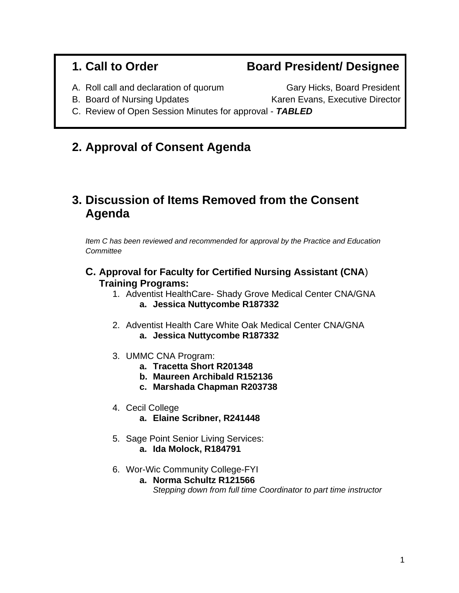### **1. Call to Order Serve Board President/ Designee**

- A. Roll call and declaration of quorum Gary Hicks, Board President
- B. Board of Nursing Updates Karen Evans, Executive Director

C. Review of Open Session Minutes for approval - *TABLED*

### **2. Approval of Consent Agenda**

### **3. Discussion of Items Removed from the Consent Agenda**

*Item C has been reviewed and recommended for approval by the Practice and Education Committee* 

- **C. Approval for Faculty for Certified Nursing Assistant (CNA**) **Training Programs:** 
	- 1. Adventist HealthCare- Shady Grove Medical Center CNA/GNA **a. Jessica Nuttycombe R187332**
	- 2. Adventist Health Care White Oak Medical Center CNA/GNA **a. Jessica Nuttycombe R187332**
	- 3. UMMC CNA Program:
		- **a. Tracetta Short R201348**
		- **b. Maureen Archibald R152136**
		- **c. Marshada Chapman R203738**
	- 4. Cecil College
		- **a. Elaine Scribner, R241448**
	- 5. Sage Point Senior Living Services: **a. Ida Molock, R184791**
	- 6. Wor-Wic Community College-FYI
		- **a. Norma Schultz R121566** *Stepping down from full time Coordinator to part time instructor*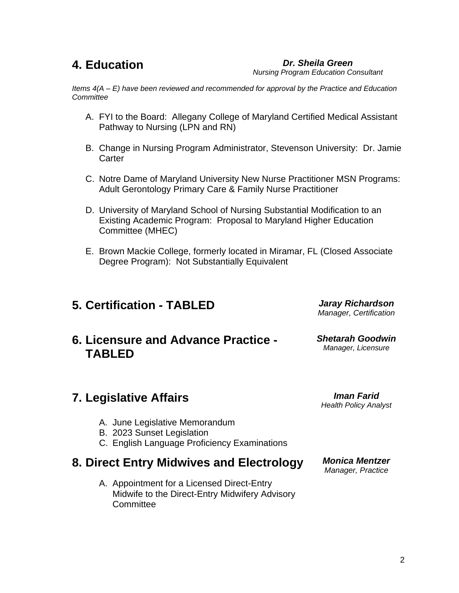#### **4. Education** *Dr. Sheila Green*

*Nursing Program Education Consultant*

*Items 4(A – E) have been reviewed and recommended for approval by the Practice and Education Committee* 

- A. FYI to the Board: Allegany College of Maryland Certified Medical Assistant Pathway to Nursing (LPN and RN)
- B. Change in Nursing Program Administrator, Stevenson University: Dr. Jamie **Carter**
- C. Notre Dame of Maryland University New Nurse Practitioner MSN Programs: Adult Gerontology Primary Care & Family Nurse Practitioner
- D. University of Maryland School of Nursing Substantial Modification to an Existing Academic Program: Proposal to Maryland Higher Education Committee (MHEC)
- E. Brown Mackie College, formerly located in Miramar, FL (Closed Associate Degree Program): Not Substantially Equivalent

# **5. Certification - TABLED** *Jaray Richardson*

# **6. Licensure and Advance Practice - TABLED**

# **7. Legislative Affairs** *Iman Farid*

*Health Policy Analyst*

- A. June Legislative Memorandum
- B. 2023 Sunset Legislation
- C. English Language Proficiency Examinations

# **8. Direct Entry Midwives and Electrology**

A. Appointment for a Licensed Direct-Entry Midwife to the Direct-Entry Midwifery Advisory **Committee** 

*Monica Mentzer Manager, Practice*

*Manager, Certification*

*Manager, Licensure*

*Shetarah Goodwin*